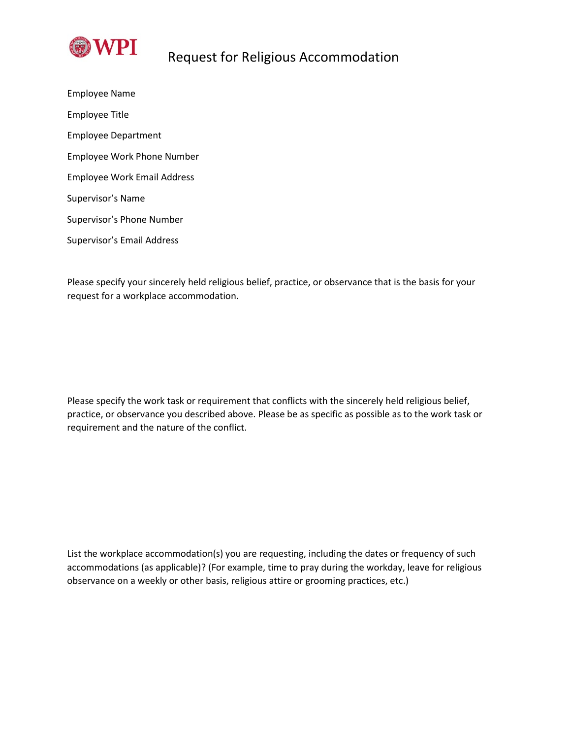

## Request for Religious Accommodation

Employee Name Employee Title Employee Department Employee Work Phone Number Employee Work Email Address Supervisor's Name Supervisor's Phone Number Supervisor's Email Address

Please specify your sincerely held religious belief, practice, or observance that is the basis for your request for a workplace accommodation.

Please specify the work task or requirement that conflicts with the sincerely held religious belief, practice, or observance you described above. Please be as specific as possible as to the work task or requirement and the nature of the conflict.

List the workplace accommodation(s) you are requesting, including the dates or frequency of such accommodations (as applicable)? (For example, time to pray during the workday, leave for religious observance on a weekly or other basis, religious attire or grooming practices, etc.)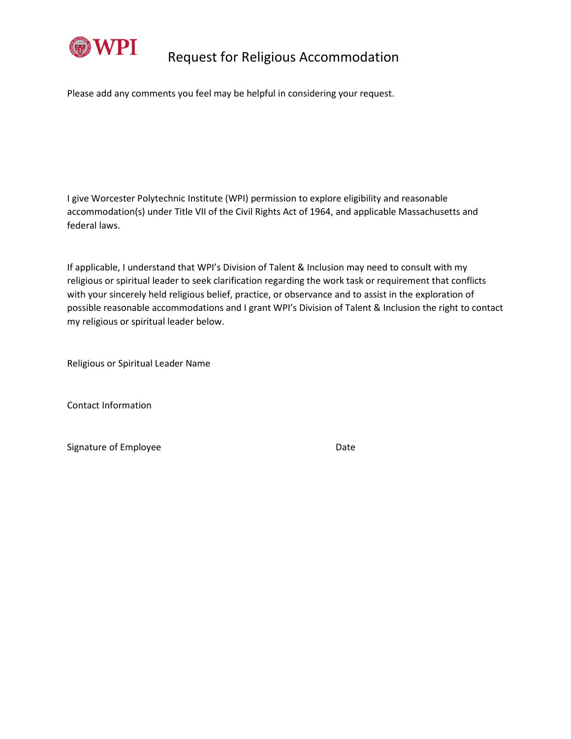

## Request for Religious Accommodation

Please add any comments you feel may be helpful in considering your request.

I give Worcester Polytechnic Institute (WPI) permission to explore eligibility and reasonable accommodation(s) under Title VII of the Civil Rights Act of 1964, and applicable Massachusetts and federal laws.

If applicable, I understand that WPI's Division of Talent & Inclusion may need to consult with my religious or spiritual leader to seek clarification regarding the work task or requirement that conflicts with your sincerely held religious belief, practice, or observance and to assist in the exploration of possible reasonable accommodations and I grant WPI's Division of Talent & Inclusion the right to contact my religious or spiritual leader below.

Religious or Spiritual Leader Name

Contact Information

Signature of Employee Date